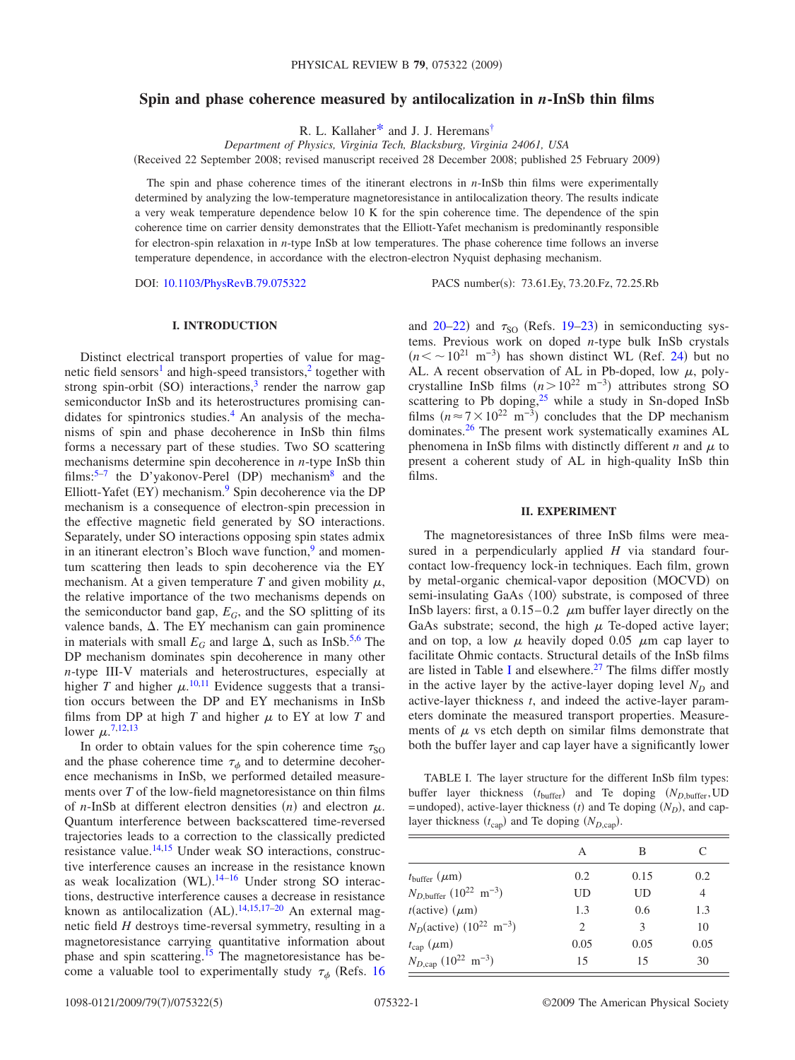# **Spin and phase coherence measured by antilocalization in** *n***-InSb thin films**

R. L. Kallaher<sup>\*</sup> and J. J. Heremans<sup>†</sup>

*Department of Physics, Virginia Tech, Blacksburg, Virginia 24061, USA* Received 22 September 2008; revised manuscript received 28 December 2008; published 25 February 2009-

The spin and phase coherence times of the itinerant electrons in *n*-InSb thin films were experimentally determined by analyzing the low-temperature magnetoresistance in antilocalization theory. The results indicate a very weak temperature dependence below 10 K for the spin coherence time. The dependence of the spin coherence time on carrier density demonstrates that the Elliott-Yafet mechanism is predominantly responsible for electron-spin relaxation in *n*-type InSb at low temperatures. The phase coherence time follows an inverse temperature dependence, in accordance with the electron-electron Nyquist dephasing mechanism.

DOI: [10.1103/PhysRevB.79.075322](http://dx.doi.org/10.1103/PhysRevB.79.075322)

PACS number(s): 73.61.Ey, 73.20.Fz, 72.25.Rb

## **I. INTRODUCTION**

Distinct electrical transport properties of value for magnetic field sensors<sup>1</sup> and high-speed transistors,<sup>2</sup> together with strong spin-orbit (SO) interactions,<sup>3</sup> render the narrow gap semiconductor InSb and its heterostructures promising candidates for spintronics studies.<sup>4</sup> An analysis of the mechanisms of spin and phase decoherence in InSb thin films forms a necessary part of these studies. Two SO scattering mechanisms determine spin decoherence in *n*-type InSb thin films:<sup>5–[7](#page-4-7)</sup> the D'yakonov-Perel (DP) mechanism<sup>8</sup> and the Elliott-Yafet (EY) mechanism.<sup>9</sup> Spin decoherence via the DP mechanism is a consequence of electron-spin precession in the effective magnetic field generated by SO interactions. Separately, under SO interactions opposing spin states admix in an itinerant electron's Bloch wave function, $9$  and momentum scattering then leads to spin decoherence via the EY mechanism. At a given temperature  $T$  and given mobility  $\mu$ , the relative importance of the two mechanisms depends on the semiconductor band gap,  $E_G$ , and the SO splitting of its valence bands,  $\Delta$ . The EY mechanism can gain prominence in materials with small  $E_G$  and large  $\Delta$ , such as InSb.<sup>5[,6](#page-4-10)</sup> The DP mechanism dominates spin decoherence in many other *n*-type III-V materials and heterostructures, especially at higher *T* and higher  $\mu$ .<sup>[10,](#page-4-11)[11](#page-4-12)</sup> Evidence suggests that a transition occurs between the DP and EY mechanisms in InSb films from DP at high  $T$  and higher  $\mu$  to EY at low  $T$  and lower  $\mu$ <sup>[7](#page-4-7)[,12,](#page-4-13)[13](#page-4-14)</sup>

In order to obtain values for the spin coherence time  $\tau_{SO}$ and the phase coherence time  $\tau_{\phi}$  and to determine decoherence mechanisms in InSb, we performed detailed measurements over *T* of the low-field magnetoresistance on thin films of *n*-InSb at different electron densities  $(n)$  and electron  $\mu$ . Quantum interference between backscattered time-reversed trajectories leads to a correction to the classically predicted resistance value.<sup>14[,15](#page-4-16)</sup> Under weak SO interactions, constructive interference causes an increase in the resistance known as weak localization  $(WL)$ .<sup>[14](#page-4-15)-16</sup> Under strong SO interactions, destructive interference causes a decrease in resistance known as antilocalization (AL).<sup>[14](#page-4-15)[,15,](#page-4-16)[17](#page-4-18)-20</sup> An external magnetic field *H* destroys time-reversal symmetry, resulting in a magnetoresistance carrying quantitative information about phase and spin scattering[.15](#page-4-16) The magnetoresistance has become a valuable tool to experimentally study  $\tau_{\phi}$  (Refs. [16](#page-4-17)

and  $20-22$  $20-22$ ) and  $\tau_{SO}$  (Refs. [19–](#page-4-21)[23](#page-4-22)) in semiconducting systems. Previous work on doped *n*-type bulk InSb crystals  $(n < \sim 10^{21} \text{ m}^{-3})$  has shown distinct WL (Ref. [24](#page-4-23)) but no AL. A recent observation of AL in Pb-doped, low  $\mu$ , polycrystalline InSb films  $(n>10^{22} \text{ m}^{-3})$  attributes strong SO scattering to Pb doping, $25$  while a study in Sn-doped InSb films  $(n \approx 7 \times 10^{22} \text{ m}^{-3})$  concludes that the DP mechanism dominates[.26](#page-4-25) The present work systematically examines AL phenomena in InSb films with distinctly different *n* and  $\mu$  to present a coherent study of AL in high-quality InSb thin films.

#### **II. EXPERIMENT**

The magnetoresistances of three InSb films were measured in a perpendicularly applied *H* via standard fourcontact low-frequency lock-in techniques. Each film, grown by metal-organic chemical-vapor deposition (MOCVD) on semi-insulating GaAs  $\langle 100 \rangle$  substrate, is composed of three InSb layers: first, a  $0.15-0.2$   $\mu$ m buffer layer directly on the GaAs substrate; second, the high  $\mu$  Te-doped active layer; and on top, a low  $\mu$  heavily doped 0.05  $\mu$ m cap layer to facilitate Ohmic contacts. Structural details of the InSb films are listed in Table [I](#page-0-0) and elsewhere.<sup>27</sup> The films differ mostly in the active layer by the active-layer doping level  $N_D$  and active-layer thickness *t*, and indeed the active-layer parameters dominate the measured transport properties. Measurements of  $\mu$  vs etch depth on similar films demonstrate that both the buffer layer and cap layer have a significantly lower

<span id="page-0-0"></span>TABLE I. The layer structure for the different InSb film types: buffer layer thickness ( $t_{\text{buffer}}$ ) and Te doping ( $N_{D,\text{buffer}}$ , UD  $=$ undoped), active-layer thickness *(t)* and Te doping  $(N_D)$ , and caplayer thickness  $(t_{\text{cap}})$  and Te doping  $(N_{D,\text{cap}})$ .

|                                                          | А              | В    |      |
|----------------------------------------------------------|----------------|------|------|
| $t_{\text{buffer}}$ ( $\mu$ m)                           | 0.2            | 0.15 | 0.2  |
| $N_{D,\text{buffer}} (10^{22} \text{ m}^{-3})$           | UD             | UD   | 4    |
| $t$ (active) $(\mu m)$                                   | 1.3            | 0.6  | 1.3  |
| $N_D(\text{active})$ (10 <sup>22</sup> m <sup>-3</sup> ) | $\mathfrak{D}$ | 3    | 10   |
| $t_{\text{cap}}\ (\mu\text{m})$                          | 0.05           | 0.05 | 0.05 |
| $N_{D,\text{cap}}$ (10 <sup>22</sup> m <sup>-3</sup> )   | 15             | 15   | 30   |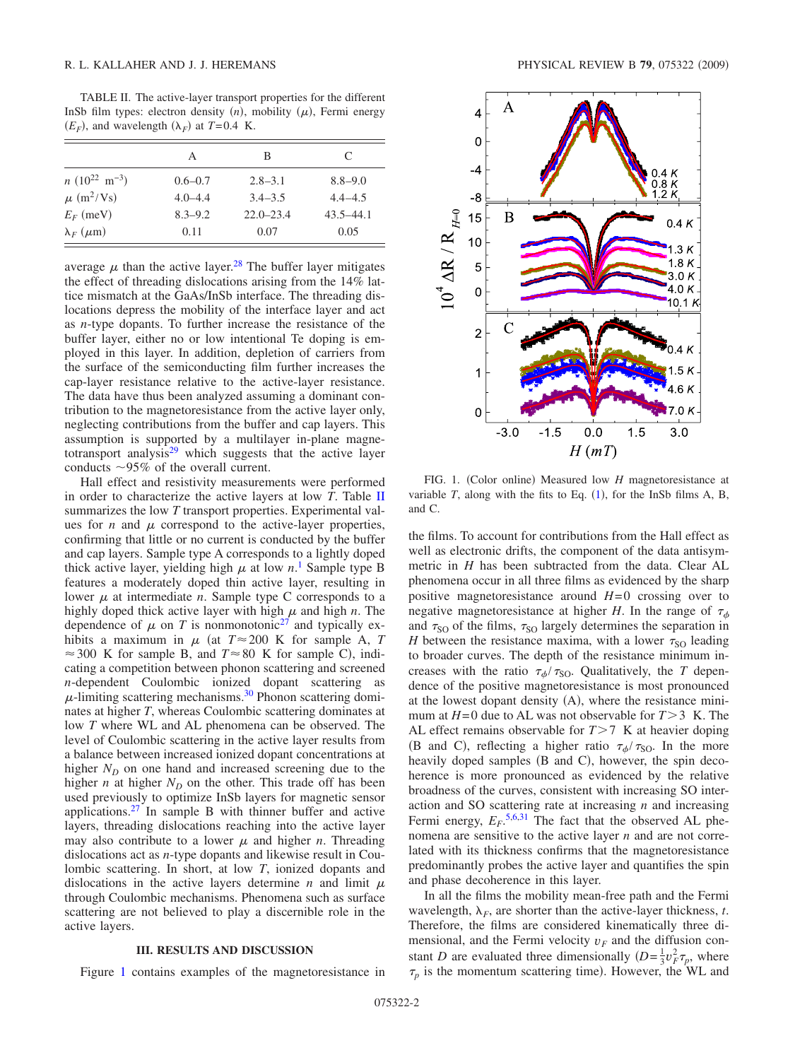<span id="page-1-0"></span>TABLE II. The active-layer transport properties for the different InSb film types: electron density  $(n)$ , mobility  $(\mu)$ , Fermi energy  $(E_F)$ , and wavelength  $(\lambda_F)$  at  $T=0.4$  K.

|                             | А           | В             | C             |
|-----------------------------|-------------|---------------|---------------|
| $n(10^{22} \text{ m}^{-3})$ | $0.6 - 0.7$ | $2.8 - 3.1$   | $8.8 - 9.0$   |
| $\mu$ (m <sup>2</sup> /Vs)  | $4.0 - 4.4$ | $3.4 - 3.5$   | $4.4 - 4.5$   |
| $E_F$ (meV)                 | $8.3 - 9.2$ | $22.0 - 23.4$ | $43.5 - 44.1$ |
| $\lambda_F$ ( $\mu$ m)      | 0.11        | 0.07          | 0.05          |

average  $\mu$  than the active layer.<sup>28</sup> The buffer layer mitigates the effect of threading dislocations arising from the 14% lattice mismatch at the GaAs/InSb interface. The threading dislocations depress the mobility of the interface layer and act as *n*-type dopants. To further increase the resistance of the buffer layer, either no or low intentional Te doping is employed in this layer. In addition, depletion of carriers from the surface of the semiconducting film further increases the cap-layer resistance relative to the active-layer resistance. The data have thus been analyzed assuming a dominant contribution to the magnetoresistance from the active layer only, neglecting contributions from the buffer and cap layers. This assumption is supported by a multilayer in-plane magnetotransport analysis $29$  which suggests that the active layer conducts  $\sim$ 95% of the overall current.

Hall effect and resistivity measurements were performed in order to characterize the active layers at low *T*. Table [II](#page-1-0) summarizes the low *T* transport properties. Experimental values for  $n$  and  $\mu$  correspond to the active-layer properties, confirming that little or no current is conducted by the buffer and cap layers. Sample type A corresponds to a lightly doped thick active layer, yielding high  $\mu$  at low  $n$ <sup>[1](#page-4-2)</sup>. Sample type B features a moderately doped thin active layer, resulting in lower  $\mu$  at intermediate *n*. Sample type C corresponds to a highly doped thick active layer with high  $\mu$  and high  $n$ . The dependence of  $\mu$  on *T* is nonmonotonic<sup>27</sup> and typically exhibits a maximum in  $\mu$  (at  $T \approx 200$  K for sample A, *T*  $\approx$  300 K for sample B, and  $T \approx 80$  K for sample C), indicating a competition between phonon scattering and screened *n*-dependent Coulombic ionized dopant scattering as  $\mu$ -limiting scattering mechanisms.<sup>30</sup> Phonon scattering dominates at higher *T*, whereas Coulombic scattering dominates at low *T* where WL and AL phenomena can be observed. The level of Coulombic scattering in the active layer results from a balance between increased ionized dopant concentrations at higher  $N_D$  on one hand and increased screening due to the higher *n* at higher  $N_D$  on the other. This trade off has been used previously to optimize InSb layers for magnetic sensor applications.<sup>27</sup> In sample B with thinner buffer and active layers, threading dislocations reaching into the active layer may also contribute to a lower  $\mu$  and higher *n*. Threading dislocations act as *n*-type dopants and likewise result in Coulombic scattering. In short, at low *T*, ionized dopants and dislocations in the active layers determine  $n$  and limit  $\mu$ through Coulombic mechanisms. Phenomena such as surface scattering are not believed to play a discernible role in the active layers.

## **III. RESULTS AND DISCUSSION**

Figure [1](#page-1-1) contains examples of the magnetoresistance in

<span id="page-1-1"></span>

FIG. 1. (Color online) Measured low *H* magnetoresistance at variable  $T$ , along with the fits to Eq.  $(1)$  $(1)$  $(1)$ , for the InSb films A, B, and C.

the films. To account for contributions from the Hall effect as well as electronic drifts, the component of the data antisymmetric in *H* has been subtracted from the data. Clear AL phenomena occur in all three films as evidenced by the sharp positive magnetoresistance around *H*=0 crossing over to negative magnetoresistance at higher *H*. In the range of  $\tau_{\phi}$ and  $\tau_{SO}$  of the films,  $\tau_{SO}$  largely determines the separation in *H* between the resistance maxima, with a lower  $\tau_{SO}$  leading to broader curves. The depth of the resistance minimum increases with the ratio  $\tau_{\phi}/\tau_{\text{SO}}$ . Qualitatively, the *T* dependence of the positive magnetoresistance is most pronounced at the lowest dopant density (A), where the resistance minimum at  $H=0$  due to AL was not observable for  $T>3$  K. The AL effect remains observable for  $T>7$  K at heavier doping (B and C), reflecting a higher ratio  $\tau_{\phi}/\tau_{\text{SO}}$ . In the more heavily doped samples (B and C), however, the spin decoherence is more pronounced as evidenced by the relative broadness of the curves, consistent with increasing SO interaction and SO scattering rate at increasing *n* and increasing Fermi energy,  $E_F$ <sup>[5,](#page-4-6)[6,](#page-4-10)[31](#page-4-30)</sup> The fact that the observed AL phenomena are sensitive to the active layer *n* and are not correlated with its thickness confirms that the magnetoresistance predominantly probes the active layer and quantifies the spin and phase decoherence in this layer.

In all the films the mobility mean-free path and the Fermi wavelength,  $\lambda_F$ , are shorter than the active-layer thickness, *t*. Therefore, the films are considered kinematically three dimensional, and the Fermi velocity  $v_F$  and the diffusion constant *D* are evaluated three dimensionally  $(D = \frac{1}{3}v_F^2 \tau_p$ , where  $\tau_p$  is the momentum scattering time). However, the WL and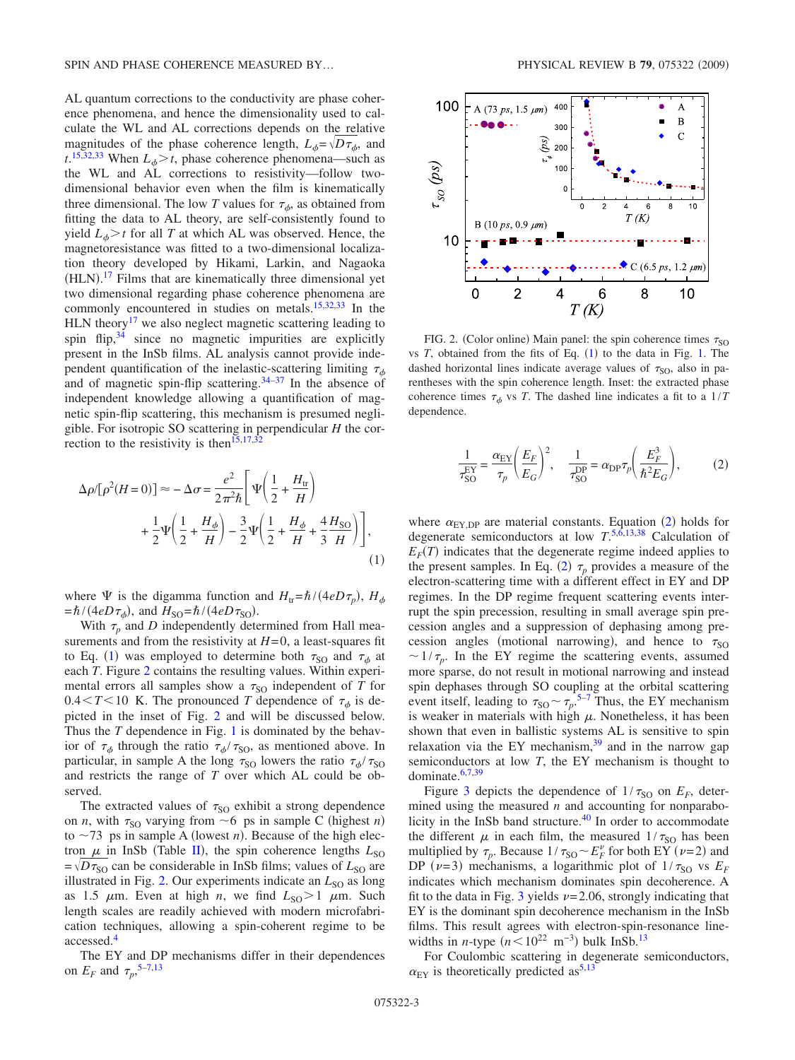AL quantum corrections to the conductivity are phase coherence phenomena, and hence the dimensionality used to calculate the WL and AL corrections depends on the relative magnitudes of the phase coherence length,  $L_{\phi} = \sqrt{D\tau_{\phi}}$ , and  $t^{15,32,33}$  $t^{15,32,33}$  $t^{15,32,33}$  $t^{15,32,33}$  $t^{15,32,33}$  When  $L_{\phi} > t$ , phase coherence phenomena—such as the WL and AL corrections to resistivity—follow twodimensional behavior even when the film is kinematically three dimensional. The low *T* values for  $\tau_{\phi}$ , as obtained from fitting the data to AL theory, are self-consistently found to yield  $L<sub>o</sub> > t$  for all *T* at which AL was observed. Hence, the magnetoresistance was fitted to a two-dimensional localization theory developed by Hikami, Larkin, and Nagaoka  $(HLN).<sup>17</sup>$  $(HLN).<sup>17</sup>$  $(HLN).<sup>17</sup>$  Films that are kinematically three dimensional yet two dimensional regarding phase coherence phenomena are commonly encountered in studies on metals[.15,](#page-4-16)[32](#page-4-31)[,33](#page-4-32) In the HLN theory<sup>17</sup> we also neglect magnetic scattering leading to spin flip, $3<sup>4</sup>$  since no magnetic impurities are explicitly present in the InSb films. AL analysis cannot provide independent quantification of the inelastic-scattering limiting  $\tau_{\phi}$ and of magnetic spin-flip scattering. $34-37$  In the absence of independent knowledge allowing a quantification of magnetic spin-flip scattering, this mechanism is presumed negligible. For isotropic SO scattering in perpendicular *H* the correction to the resistivity is then  $15,17,32$  $15,17,32$  $15,17,32$ 

<span id="page-2-0"></span>
$$
\Delta \rho / [\rho^2 (H=0)] \approx -\Delta \sigma = \frac{e^2}{2\pi^2 \hbar} \left[ \Psi \left( \frac{1}{2} + \frac{H_{\rm tr}}{H} \right) + \frac{1}{2} \Psi \left( \frac{1}{2} + \frac{H_{\phi}}{H} \right) - \frac{3}{2} \Psi \left( \frac{1}{2} + \frac{H_{\phi}}{H} + \frac{4}{3} \frac{H_{\rm SO}}{H} \right) \right],
$$
\n(1)

where  $\Psi$  is the digamma function and  $H_{tr} = \hbar / (4eD\tau_p)$ ,  $H_{\phi}$  $=\hbar/(4eD\tau_{\phi})$ , and  $H_{\text{SO}}=\hbar/(4eD\tau_{\text{SO}})$ .

With  $\tau_p$  and *D* independently determined from Hall measurements and from the resistivity at  $H=0$ , a least-squares fit to Eq. ([1](#page-2-0)) was employed to determine both  $\tau_{SO}$  and  $\tau_{\phi}$  at each *T*. Figure [2](#page-2-1) contains the resulting values. Within experimental errors all samples show a  $\tau_{\text{SO}}$  independent of *T* for  $0.4 \leq T \leq 10$  K. The pronounced *T* dependence of  $\tau_{\phi}$  is depicted in the inset of Fig. [2](#page-2-1) and will be discussed below. Thus the *T* dependence in Fig. [1](#page-1-1) is dominated by the behavior of  $\tau_{\phi}$  through the ratio  $\tau_{\phi}/\tau_{\text{SO}}$ , as mentioned above. In particular, in sample A the long  $\tau_{\rm SO}$  lowers the ratio  $\tau_{\phi}/\tau_{\rm SO}$ and restricts the range of *T* over which AL could be observed.

The extracted values of  $\tau_{SO}$  exhibit a strong dependence on *n*, with  $\tau_{SO}$  varying from  $\sim$  6 ps in sample C (highest *n*) to  $\sim$ 73 ps in sample A (lowest *n*). Because of the high electron  $\mu$  in InSb (Table [II](#page-1-0)), the spin coherence lengths  $L_{SO}$  $=$   $\sqrt{D}\tau_{\text{SO}}$  can be considerable in InSb films; values of  $L_{\text{SO}}$  are illustrated in Fig. [2.](#page-2-1) Our experiments indicate an  $L_{\text{SO}}$  as long as 1.5  $\mu$ m. Even at high *n*, we find  $L_{\text{SO}} > 1$   $\mu$ m. Such length scales are readily achieved with modern microfabrication techniques, allowing a spin-coherent regime to be accessed[.4](#page-4-5)

The EY and DP mechanisms differ in their dependences on  $E_F$  and  $\tau_p$ ,<sup>[5](#page-4-6)[–7,](#page-4-7)[13](#page-4-14)</sup>

<span id="page-2-1"></span>

FIG. 2. (Color online) Main panel: the spin coherence times  $\tau_{SO}$ vs  $T$ , obtained from the fits of Eq.  $(1)$  $(1)$  $(1)$  to the data in Fig. [1.](#page-1-1) The dashed horizontal lines indicate average values of  $\tau_{\text{SO}}$ , also in parentheses with the spin coherence length. Inset: the extracted phase coherence times  $\tau_{\phi}$  vs *T*. The dashed line indicates a fit to a  $1/T$ dependence.

$$
\frac{1}{\tau_{\text{SO}}^{\text{EY}}} = \frac{\alpha_{\text{EY}}}{\tau_p} \left(\frac{E_F}{E_G}\right)^2, \quad \frac{1}{\tau_{\text{SO}}^{\text{DP}}} = \alpha_{\text{DP}} \tau_p \left(\frac{E_F^3}{\hbar^2 E_G}\right),\tag{2}
$$

<span id="page-2-2"></span>where  $\alpha_{EY,DP}$  are material constants. Equation ([2](#page-2-2)) holds for degenerate semiconductors at low *T*. [5,](#page-4-6)[6,](#page-4-10)[13](#page-4-14)[,38](#page-4-35) Calculation of  $E_F(T)$  indicates that the degenerate regime indeed applies to the present samples. In Eq. ([2](#page-2-2))  $\tau_p$  provides a measure of the electron-scattering time with a different effect in EY and DP regimes. In the DP regime frequent scattering events interrupt the spin precession, resulting in small average spin precession angles and a suppression of dephasing among precession angles (motional narrowing), and hence to  $\tau_{SO}$  $\sim 1/\tau_p$ . In the EY regime the scattering events, assumed more sparse, do not result in motional narrowing and instead spin dephases through SO coupling at the orbital scattering event itself, leading to  $\tau_{SO} \sim \tau_p$ .<sup>[5](#page-4-6)[–7](#page-4-7)</sup> Thus, the EY mechanism is weaker in materials with high  $\mu$ . Nonetheless, it has been shown that even in ballistic systems AL is sensitive to spin relaxation via the EY mechanism, $39$  and in the narrow gap semiconductors at low *T*, the EY mechanism is thought to dominate[.6,](#page-4-10)[7](#page-4-7)[,39](#page-4-36)

Figure [3](#page-3-0) depicts the dependence of  $1/\tau_{\text{SO}}$  on  $E_F$ , determined using the measured *n* and accounting for nonparabolicity in the InSb band structure.<sup>40</sup> In order to accommodate the different  $\mu$  in each film, the measured  $1/\tau_{\text{SO}}$  has been multiplied by  $\tau_p$ . Because  $1/\tau_{SO} \sim E_F^{\nu}$  for both EY ( $\nu$ =2) and DP ( $\nu$ =3) mechanisms, a logarithmic plot of  $1/\tau_{SO}$  vs  $E_F$ indicates which mechanism dominates spin decoherence. A fit to the data in Fig. [3](#page-3-0) yields  $\nu$ =2.06, strongly indicating that EY is the dominant spin decoherence mechanism in the InSb films. This result agrees with electron-spin-resonance linewidths in *n*-type  $(n < 10^{22} \text{ m}^{-3})$  bulk InSb.<sup>13</sup>

For Coulombic scattering in degenerate semiconductors,  $\alpha_{\text{EY}}$  is theoretically predicted as<sup>5[,13](#page-4-14)</sup>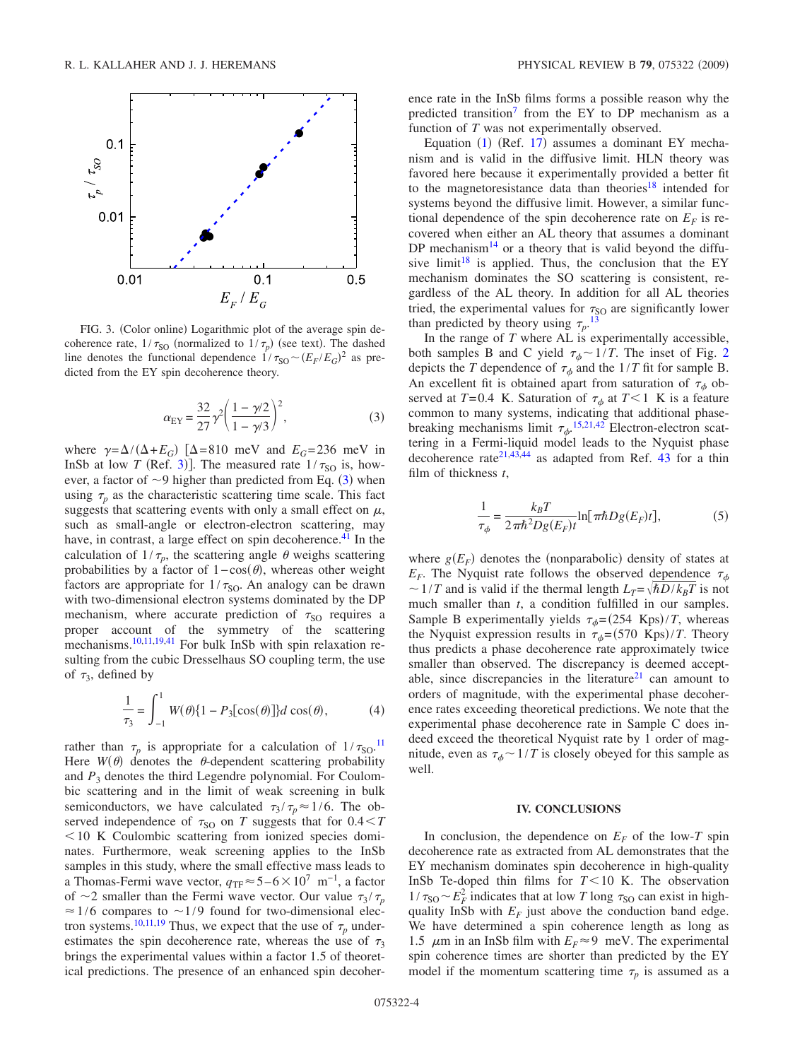<span id="page-3-0"></span>

FIG. 3. (Color online) Logarithmic plot of the average spin decoherence rate,  $1/\tau_{\text{SO}}$  (normalized to  $1/\tau_p$ ) (see text). The dashed line denotes the functional dependence  $1/\tau_{\text{SO}} \sim (E_F/E_G)^2$  as predicted from the EY spin decoherence theory.

$$
\alpha_{\rm EY} = \frac{32}{27} \gamma^2 \left( \frac{1 - \gamma/2}{1 - \gamma/3} \right)^2,\tag{3}
$$

<span id="page-3-1"></span>where  $\gamma = \Delta/(\Delta + E_G)$  [ $\Delta = 810$  meV and  $E_G = 236$  meV in InSb at low *T* (Ref. [3](#page-4-4))]. The measured rate  $1/\tau_{SO}$  is, however, a factor of  $\sim$ 9 higher than predicted from Eq. ([3](#page-3-1)) when using  $\tau$ <sub>n</sub> as the characteristic scattering time scale. This fact suggests that scattering events with only a small effect on  $\mu$ , such as small-angle or electron-electron scattering, may have, in contrast, a large effect on spin decoherence.<sup>41</sup> In the calculation of  $1/\tau_p$ , the scattering angle  $\theta$  weighs scattering probabilities by a factor of  $1 - \cos(\theta)$ , whereas other weight factors are appropriate for  $1/\tau_{\text{SO}}$ . An analogy can be drawn with two-dimensional electron systems dominated by the DP mechanism, where accurate prediction of  $\tau_{SO}$  requires a proper account of the symmetry of the scattering mechanisms.<sup>10[,11,](#page-4-12)[19](#page-4-21)[,41](#page-4-38)</sup> For bulk InSb with spin relaxation resulting from the cubic Dresselhaus SO coupling term, the use of  $\tau_3$ , defined by

$$
\frac{1}{\tau_3} = \int_{-1}^{1} W(\theta) \{1 - P_3[\cos(\theta)]\} d\cos(\theta),
$$
 (4)

rather than  $\tau_p$  is appropriate for a calculation of  $1/\tau_{\text{SO}}$ .<sup>[11](#page-4-12)</sup> Here  $W(\theta)$  denotes the  $\theta$ -dependent scattering probability and  $P_3$  denotes the third Legendre polynomial. For Coulombic scattering and in the limit of weak screening in bulk semiconductors, we have calculated  $\tau_3 / \tau_p \approx 1/6$ . The observed independence of  $\tau_{SO}$  on *T* suggests that for  $0.4 < T$  $10$  K Coulombic scattering from ionized species dominates. Furthermore, weak screening applies to the InSb samples in this study, where the small effective mass leads to a Thomas-Fermi wave vector,  $q_{TF}$ ≈5–6×10<sup>7</sup> m<sup>-1</sup>, a factor of  $\sim$ 2 smaller than the Fermi wave vector. Our value  $\tau_3 / \tau_p$  $\approx$  1/6 compares to  $\sim$  1/9 found for two-dimensional elec-tron systems.<sup>10[,11,](#page-4-12)[19](#page-4-21)</sup> Thus, we expect that the use of  $\tau_p$  underestimates the spin decoherence rate, whereas the use of  $\tau_3$ brings the experimental values within a factor 1.5 of theoretical predictions. The presence of an enhanced spin decoherence rate in the InSb films forms a possible reason why the predicted transition<sup>7</sup> from the EY to DP mechanism as a function of *T* was not experimentally observed.

Equation  $(1)$  $(1)$  $(1)$  (Ref. [17](#page-4-18)) assumes a dominant EY mechanism and is valid in the diffusive limit. HLN theory was favored here because it experimentally provided a better fit to the magnetoresistance data than theories<sup>18</sup> intended for systems beyond the diffusive limit. However, a similar functional dependence of the spin decoherence rate on  $E_F$  is recovered when either an AL theory that assumes a dominant DP mechanism<sup>14</sup> or a theory that is valid beyond the diffusive limit<sup>18</sup> is applied. Thus, the conclusion that the EY mechanism dominates the SO scattering is consistent, regardless of the AL theory. In addition for all AL theories tried, the experimental values for  $\tau_{SO}$  are significantly lower than predicted by theory using  $\tau_p$ .<sup>[13](#page-4-14)</sup>

In the range of *T* where AL is experimentally accessible, both samples B and C yield  $\tau_{\phi} \sim 1/T$ . The inset of Fig. [2](#page-2-1) depicts the *T* dependence of  $\tau_{\phi}$  and the 1/*T* fit for sample B. An excellent fit is obtained apart from saturation of  $\tau_{\phi}$  observed at  $T=0.4$  K. Saturation of  $\tau_{\phi}$  at  $T<1$  K is a feature common to many systems, indicating that additional phasebreaking mechanisms limit  $\tau_{\phi}$ .<sup>[15](#page-4-16)[,21](#page-4-40)[,42](#page-4-41)</sup> Electron-electron scattering in a Fermi-liquid model leads to the Nyquist phase decoherence rate<sup>21,[43,](#page-4-42)[44](#page-4-43)</sup> as adapted from Ref. [43](#page-4-42) for a thin film of thickness *t*,

$$
\frac{1}{\tau_{\phi}} = \frac{k_B T}{2\pi \hbar^2 D g(E_F)t} \ln[\pi \hbar D g(E_F)t],
$$
 (5)

where  $g(E_F)$  denotes the (nonparabolic) density of states at  $E_F$ . The Nyquist rate follows the observed dependence  $\tau_{\phi}$  $\sim$  1/*T* and is valid if the thermal length  $L_T = \sqrt{\hbar D/k_B T}$  is not much smaller than *t*, a condition fulfilled in our samples. Sample B experimentally yields  $\tau_{\phi} = (254 \text{ Kps})/T$ , whereas the Nyquist expression results in  $\tau_{\phi} = (570 \text{ Kps})/T$ . Theory thus predicts a phase decoherence rate approximately twice smaller than observed. The discrepancy is deemed acceptable, since discrepancies in the literature<sup>21</sup> can amount to orders of magnitude, with the experimental phase decoherence rates exceeding theoretical predictions. We note that the experimental phase decoherence rate in Sample C does indeed exceed the theoretical Nyquist rate by 1 order of magnitude, even as  $\tau_{\phi} \sim 1/T$  is closely obeyed for this sample as well.

### **IV. CONCLUSIONS**

In conclusion, the dependence on  $E_F$  of the low-*T* spin decoherence rate as extracted from AL demonstrates that the EY mechanism dominates spin decoherence in high-quality InSb Te-doped thin films for  $T < 10$  K. The observation  $1/\tau_{\text{SO}} \sim E_F^2$  indicates that at low *T* long  $\tau_{\text{SO}}$  can exist in highquality InSb with  $E_F$  just above the conduction band edge. We have determined a spin coherence length as long as 1.5  $\mu$ m in an InSb film with  $E_F \approx 9$  meV. The experimental spin coherence times are shorter than predicted by the EY model if the momentum scattering time  $\tau_p$  is assumed as a